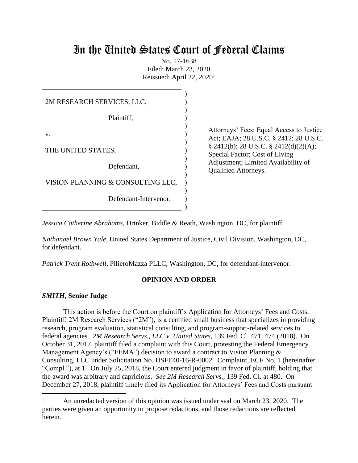# In the United States Court of Federal Claims

No. 17-1638 Filed: March 23, 2020 Reissued: April 22, 2020<sup>1</sup>

| 2M RESEARCH SERVICES, LLC,        |  |  |  |  |
|-----------------------------------|--|--|--|--|
| Plaintiff,                        |  |  |  |  |
| v.                                |  |  |  |  |
| THE UNITED STATES,                |  |  |  |  |
| Defendant,                        |  |  |  |  |
| VISION PLANNING & CONSULTING LLC, |  |  |  |  |
| Defendant-Intervenor.             |  |  |  |  |
|                                   |  |  |  |  |

Attorneys' Fees; Equal Access to Justice Act; EAJA; 28 U.S.C. § 2412; 28 U.S.C. § 2412(b); 28 U.S.C. § 2412(d)(2)(A); Special Factor; Cost of Living Adjustment; Limited Availability of Qualified Attorneys.

*Jessica Catherine Abrahams*, Drinker, Biddle & Reath, Washington, DC, for plaintiff.

*Nathanael Brown Yale*, United States Department of Justice, Civil Division, Washington, DC, for defendant.

*Patrick Trent Rothwell*, PilieroMazza PLLC, Washington, DC, for defendant-intervenor.

# **OPINION AND ORDER**

## *SMITH***, Senior Judge**

 $\overline{\phantom{a}}$ 

This action is before the Court on plaintiff's Application for Attorneys' Fees and Costs. Plaintiff, 2M Research Services ("2M"), is a certified small business that specializes in providing research, program evaluation, statistical consulting, and program-support-related services to federal agencies. *2M Research Servs., LLC v. United States*, 139 Fed. Cl. 471, 474 (2018). On October 31, 2017, plaintiff filed a complaint with this Court, protesting the Federal Emergency Management Agency's ("FEMA") decision to award a contract to Vision Planning & Consulting, LLC under Solicitation No. HSFE40-16-R-0002. Complaint, ECF No. 1 (hereinafter "Compl."), at 1. On July 25, 2018, the Court entered judgment in favor of plaintiff, holding that the award was arbitrary and capricious. *See 2M Research Servs.*, 139 Fed. Cl. at 480. On December 27, 2018, plaintiff timely filed its Application for Attorneys' Fees and Costs pursuant

<sup>1</sup> An unredacted version of this opinion was issued under seal on March 23, 2020. The parties were given an opportunity to propose redactions, and those redactions are reflected herein.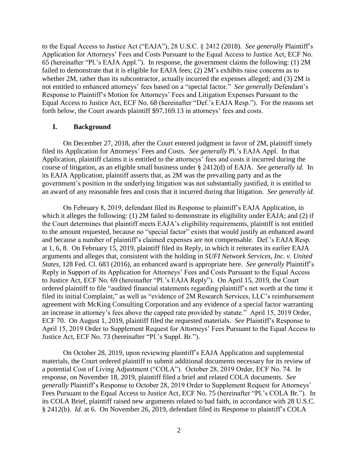to the Equal Access to Justice Act ("EAJA"), 28 U.S.C. § 2412 (2018). *See generally* Plaintiff's Application for Attorneys' Fees and Costs Pursuant to the Equal Access to Justice Act, ECF No. 65 (hereinafter "Pl.'s EAJA Appl."). In response, the government claims the following: (1) 2M failed to demonstrate that it is eligible for EAJA fees; (2) 2M's exhibits raise concerns as to whether 2M, rather than its subcontractor, actually incurred the expenses alleged; and (3) 2M is not entitled to enhanced attorneys' fees based on a "special factor." *See generally* Defendant's Response to Plaintiff's Motion for Attorneys' Fees and Litigation Expenses Pursuant to the Equal Access to Justice Act, ECF No. 68 (hereinafter "Def.'s EAJA Resp."). For the reasons set forth below, the Court awards plaintiff \$97,169.13 in attorneys' fees and costs.

## **I. Background**

On December 27, 2018, after the Court entered judgment in favor of 2M, plaintiff timely filed its Application for Attorneys' Fees and Costs. *See generally* Pl.'s EAJA Appl. In that Application, plaintiff claims it is entitled to the attorneys' fees and costs it incurred during the course of litigation, as an eligible small business under § 2412(d) of EAJA. *See generally id*. In its EAJA Application, plaintiff asserts that, as 2M was the prevailing party and as the government's position in the underlying litigation was not substantially justified, it is entitled to an award of any reasonable fees and costs that it incurred during that litigation. *See generally id*.

On February 8, 2019, defendant filed its Response to plaintiff's EAJA Application, in which it alleges the following: (1) 2M failed to demonstrate its eligibility under EAJA; and (2) if the Court determines that plaintiff meets EAJA's eligibility requirements, plaintiff is not entitled to the amount requested, because no "special factor" exists that would justify an enhanced award and because a number of plaintiff's claimed expenses are not compensable. Def.'s EAJA Resp. at 1, 6, 8. On February 15, 2019, plaintiff filed its Reply, in which it reiterates its earlier EAJA arguments and alleges that, consistent with the holding in *SUFI Network Services, Inc. v. United States*, 128 Fed. Cl. 683 (2016), an enhanced award is appropriate here. *See generally* Plaintiff's Reply in Support of its Application for Attorneys' Fees and Costs Pursuant to the Equal Access to Justice Act, ECF No. 69 (hereinafter "Pl.'s EAJA Reply"). On April 15, 2019, the Court ordered plaintiff to file "audited financial statements regarding plaintiff's net worth at the time it filed its initial Complaint," as well as "evidence of 2M Research Services, LLC's reimbursement agreement with McKing Consulting Corporation and any evidence of a special factor warranting an increase in attorney's fees above the capped rate provided by statute." April 15, 2019 Order, ECF 70. On August 1, 2019, plaintiff filed the requested materials. *See* Plaintiff's Response to April 15, 2019 Order to Supplement Request for Attorneys' Fees Pursuant to the Equal Access to Justice Act, ECF No. 73 (hereinafter "Pl.'s Suppl. Br.").

On October 28, 2019, upon reviewing plaintiff's EAJA Application and supplemental materials, the Court ordered plaintiff to submit additional documents necessary for its review of a potential Cost of Living Adjustment ("COLA"). October 28, 2019 Order, ECF No. 74. In response, on November 18, 2019, plaintiff filed a brief and related COLA documents. *See generally* Plaintiff's Response to October 28, 2019 Order to Supplement Request for Attorneys' Fees Pursuant to the Equal Access to Justice Act, ECF No. 75 (hereinafter "Pl.'s COLA Br."). In its COLA Brief, plaintiff raised new arguments related to bad faith, in accordance with 28 U.S.C. § 2412(b). *Id*. at 6. On November 26, 2019, defendant filed its Response to plaintiff's COLA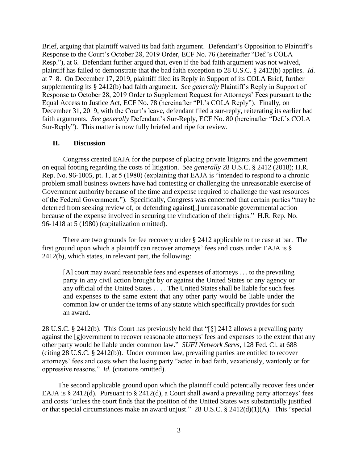Brief, arguing that plaintiff waived its bad faith argument. Defendant's Opposition to Plaintiff's Response to the Court's October 28, 2019 Order, ECF No. 76 (hereinafter "Def.'s COLA Resp."), at 6. Defendant further argued that, even if the bad faith argument was not waived, plaintiff has failed to demonstrate that the bad faith exception to 28 U.S.C. § 2412(b) applies. *Id*. at 7–8. On December 17, 2019, plaintiff filed its Reply in Support of its COLA Brief, further supplementing its § 2412(b) bad faith argument. *See generally* Plaintiff's Reply in Support of Response to October 28, 2019 Order to Supplement Request for Attorneys' Fees pursuant to the Equal Access to Justice Act, ECF No. 78 (hereinafter "Pl.'s COLA Reply"). Finally, on December 31, 2019, with the Court's leave, defendant filed a sur-reply, reiterating its earlier bad faith arguments. *See generally* Defendant's Sur-Reply, ECF No. 80 (hereinafter "Def.'s COLA Sur-Reply"). This matter is now fully briefed and ripe for review.

### **II. Discussion**

Congress created EAJA for the purpose of placing private litigants and the government on equal footing regarding the costs of litigation. *See generally* 28 U.S.C. § 2412 (2018); H.R. Rep. No. 96-1005, pt. 1, at 5 (1980) (explaining that EAJA is "intended to respond to a chronic problem small business owners have had contesting or challenging the unreasonable exercise of Government authority because of the time and expense required to challenge the vast resources of the Federal Government."). Specifically, Congress was concerned that certain parties "may be deterred from seeking review of, or defending against[,] unreasonable governmental action because of the expense involved in securing the vindication of their rights." H.R. Rep. No. 96-1418 at 5 (1980) (capitalization omitted).

There are two grounds for fee recovery under § 2412 applicable to the case at bar. The first ground upon which a plaintiff can recover attorneys' fees and costs under EAJA is § 2412(b), which states, in relevant part, the following:

[A] court may award reasonable fees and expenses of attorneys . . . to the prevailing party in any civil action brought by or against the United States or any agency or any official of the United States . . . . The United States shall be liable for such fees and expenses to the same extent that any other party would be liable under the common law or under the terms of any statute which specifically provides for such an award.

28 U.S.C. § 2412(b). This Court has previously held that "[§] 2412 allows a prevailing party against the [g]overnment to recover reasonable attorneys' fees and expenses to the extent that any other party would be liable under common law." *SUFI Network Servs*, 128 Fed. Cl. at 688 (citing 28 U.S.C. § 2412(b)). Under common law, prevailing parties are entitled to recover attorneys' fees and costs when the losing party "acted in bad faith, vexatiously, wantonly or for oppressive reasons." *Id*. (citations omitted).

The second applicable ground upon which the plaintiff could potentially recover fees under EAJA is § 2412(d). Pursuant to § 2412(d), a Court shall award a prevailing party attorneys' fees and costs "unless the court finds that the position of the United States was substantially justified or that special circumstances make an award unjust." 28 U.S.C. § 2412(d)(1)(A). This "special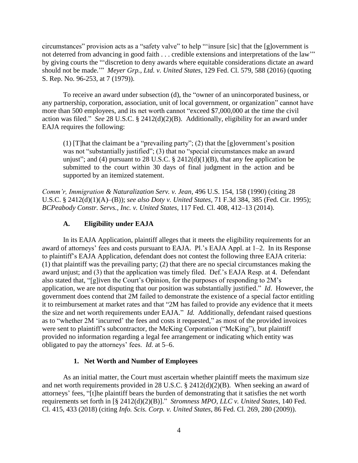circumstances" provision acts as a "safety valve" to help "'insure [sic] that the [g]overnment is not deterred from advancing in good faith . . . credible extensions and interpretations of the law'" by giving courts the "'discretion to deny awards where equitable considerations dictate an award should not be made.'" *Meyer Grp., Ltd. v. United States*, 129 Fed. Cl. 579, 588 (2016) (quoting S. Rep. No. 96-253, at 7 (1979)).

To receive an award under subsection (d), the "owner of an unincorporated business, or any partnership, corporation, association, unit of local government, or organization" cannot have more than 500 employees, and its net worth cannot "exceed \$7,000,000 at the time the civil action was filed." *See* 28 U.S.C. § 2412(d)(2)(B). Additionally, eligibility for an award under EAJA requires the following:

(1) [T]hat the claimant be a "prevailing party"; (2) that the [g]overnment's position was not "substantially justified"; (3) that no "special circumstances make an award unjust"; and (4) pursuant to 28 U.S.C.  $\S$  2412(d)(1)(B), that any fee application be submitted to the court within 30 days of final judgment in the action and be supported by an itemized statement.

*Comm'r, Immigration & Naturalization Serv. v. Jean*, 496 U.S. 154, 158 (1990) (citing 28 U.S.C. § 2412(d)(1)(A)–(B)); *see also Doty v. United States*, 71 F.3d 384, 385 (Fed. Cir. 1995); *BCPeabody Constr. Servs., Inc. v. United States*, 117 Fed. Cl. 408, 412–13 (2014).

## **A. Eligibility under EAJA**

In its EAJA Application, plaintiff alleges that it meets the eligibility requirements for an award of attorneys' fees and costs pursuant to EAJA. Pl.'s EAJA Appl. at 1–2. In its Response to plaintiff's EAJA Application, defendant does not contest the following three EAJA criteria: (1) that plaintiff was the prevailing party; (2) that there are no special circumstances making the award unjust; and (3) that the application was timely filed. Def.'s EAJA Resp. at 4. Defendant also stated that, "[g]iven the Court's Opinion, for the purposes of responding to 2M's application, we are not disputing that our position was substantially justified." *Id*. However, the government does contend that 2M failed to demonstrate the existence of a special factor entitling it to reimbursement at market rates and that "2M has failed to provide any evidence that it meets the size and net worth requirements under EAJA." *Id.* Additionally, defendant raised questions as to "whether 2M 'incurred' the fees and costs it requested," as most of the provided invoices were sent to plaintiff's subcontractor, the McKing Corporation ("McKing"), but plaintiff provided no information regarding a legal fee arrangement or indicating which entity was obligated to pay the attorneys' fees. *Id.* at 5–6.

#### **1. Net Worth and Number of Employees**

As an initial matter, the Court must ascertain whether plaintiff meets the maximum size and net worth requirements provided in 28 U.S.C. § 2412(d)(2)(B). When seeking an award of attorneys' fees, "[t]he plaintiff bears the burden of demonstrating that it satisfies the net worth requirements set forth in [§ 2412(d)(2)(B)]." *Stromness MPO, LLC v. United States*, 140 Fed. Cl. 415, 433 (2018) (citing *Info. Scis. Corp. v. United States*, 86 Fed. Cl. 269, 280 (2009)).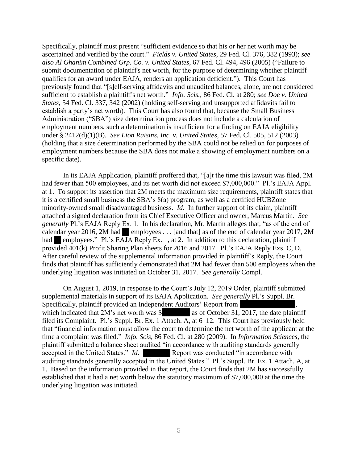Specifically, plaintiff must present "sufficient evidence so that his or her net worth may be ascertained and verified by the court." *Fields v. United States*, 29 Fed. Cl. 376, 382 (1993); *see also Al Ghanim Combined Grp. Co. v. United States*, 67 Fed. Cl. 494, 496 (2005) ("Failure to submit documentation of plaintiff's net worth, for the purpose of determining whether plaintiff qualifies for an award under EAJA, renders an application deficient."). This Court has previously found that "[s]elf-serving affidavits and unaudited balances, alone, are not considered sufficient to establish a plaintiff's net worth." *Info. Scis.*, 86 Fed. Cl. at 280; *see Doe v. United States*, 54 Fed. Cl. 337, 342 (2002) (holding self-serving and unsupported affidavits fail to establish a party's net worth). This Court has also found that, because the Small Business Administration ("SBA") size determination process does not include a calculation of employment numbers, such a determination is insufficient for a finding on EAJA eligibility under § 2412(d)(1)(B). *See Lion Raisins, Inc. v. United States*, 57 Fed. Cl. 505, 512 (2003) (holding that a size determination performed by the SBA could not be relied on for purposes of employment numbers because the SBA does not make a showing of employment numbers on a specific date).

In its EAJA Application, plaintiff proffered that, "[a]t the time this lawsuit was filed, 2M had fewer than 500 employees, and its net worth did not exceed \$7,000,000." Pl.'s EAJA Appl. at 1. To support its assertion that 2M meets the maximum size requirements, plaintiff states that it is a certified small business the SBA's 8(a) program, as well as a certified HUBZone minority-owned small disadvantaged business. *Id.* In further support of its claim, plaintiff attached a signed declaration from its Chief Executive Officer and owner, Marcus Martin. *See generally* Pl.'s EAJA Reply Ex. 1. In his declaration, Mr. Martin alleges that, "as of the end of calendar year 2016, 2M had employees . . . [and that] as of the end of calendar year 2017, 2M had employees." Pl.'s EAJA Reply Ex. 1, at 2. In addition to this declaration, plaintiff provided 401(k) Profit Sharing Plan sheets for 2016 and 2017. Pl.'s EAJA Reply Exs. C, D. After careful review of the supplemental information provided in plaintiff's Reply, the Court finds that plaintiff has sufficiently demonstrated that 2M had fewer than 500 employees when the underlying litigation was initiated on October 31, 2017. *See generally* Compl.

On August 1, 2019, in response to the Court's July 12, 2019 Order, plaintiff submitted supplemental materials in support of its EAJA Application. *See generally* Pl.'s Suppl. Br. Specifically, plaintiff provided an Independent Auditors' Report from , which indicated that  $2M$ 's net worth was  $\frac{1}{2}$  as of October 31, 2017, the date plaintiff filed its Complaint. Pl.'s Suppl. Br. Ex. 1 Attach. A, at 6–12. This Court has previously held that "financial information must allow the court to determine the net worth of the applicant at the time a complaint was filed." *Info. Scis*, 86 Fed. Cl. at 280 (2009). In *Information Sciences*, the plaintiff submitted a balance sheet audited "in accordance with auditing standards generally accepted in the United States." *Id*. Report was conducted "in accordance with auditing standards generally accepted in the United States." Pl.'s Suppl. Br. Ex. 1 Attach. A, at 1. Based on the information provided in that report, the Court finds that 2M has successfully established that it had a net worth below the statutory maximum of \$7,000,000 at the time the underlying litigation was initiated.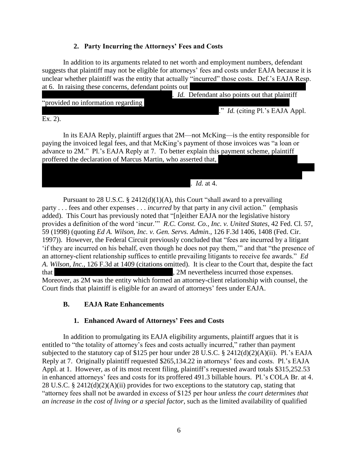# **2. Party Incurring the Attorneys' Fees and Costs**

In addition to its arguments related to net worth and employment numbers, defendant suggests that plaintiff may not be eligible for attorneys' fees and costs under EAJA because it is unclear whether plaintiff was the entity that actually "incurred" those costs. Def.'s EAJA Resp. at 6. In raising these concerns, defendant points out

|                                    |  | <i>Id.</i> Defendant also points out that plaintiff |  |
|------------------------------------|--|-----------------------------------------------------|--|
| "provided no information regarding |  |                                                     |  |
|                                    |  | ." <i>Id.</i> (citing Pl.'s EAJA Appl.              |  |

Ex. 2).

In its EAJA Reply, plaintiff argues that 2M—not McKing—is the entity responsible for paying the invoiced legal fees, and that McKing's payment of those invoices was "a loan or advance to 2M." Pl.'s EAJA Reply at 7. To better explain this payment scheme, plaintiff proffered the declaration of Marcus Martin, who asserted that,

. *Id.* at 4.

Pursuant to 28 U.S.C.  $\S$  2412(d)(1)(A), this Court "shall award to a prevailing party . . . fees and other expenses . . . *incurred* by that party in any civil action." (emphasis added). This Court has previously noted that "[n]either EAJA nor the legislative history provides a definition of the word 'incur.'" *R.C. Const. Co., Inc. v. United States*, 42 Fed. Cl. 57, 59 (1998) (quoting *Ed A. Wilson, Inc. v. Gen. Servs. Admin.*, 126 F.3d 1406, 1408 (Fed. Cir. 1997)). However, the Federal Circuit previously concluded that "fees are incurred by a litigant 'if they are incurred on his behalf, even though he does not pay them,'" and that "the presence of an attorney-client relationship suffices to entitle prevailing litigants to receive fee awards." *Ed A. Wilson, Inc.*, 126 F.3d at 1409 (citations omitted). It is clear to the Court that, despite the fact that , 2M nevertheless incurred those expenses. Moreover, as 2M was the entity which formed an attorney-client relationship with counsel, the Court finds that plaintiff is eligible for an award of attorneys' fees under EAJA.

# **B. EAJA Rate Enhancements**

# **1. Enhanced Award of Attorneys' Fees and Costs**

In addition to promulgating its EAJA eligibility arguments, plaintiff argues that it is entitled to "the totality of attorney's fees and costs actually incurred," rather than payment subjected to the statutory cap of \$125 per hour under 28 U.S.C. § 2412(d)(2)(A)(ii). Pl.'s EAJA Reply at 7. Originally plaintiff requested \$265,134.22 in attorneys' fees and costs. Pl.'s EAJA Appl. at 1. However, as of its most recent filing, plaintiff's requested award totals \$315,252.53 in enhanced attorneys' fees and costs for its proffered 491.3 billable hours. Pl.'s COLA Br. at 4. 28 U.S.C. § 2412(d)(2)(A)(ii) provides for two exceptions to the statutory cap, stating that "attorney fees shall not be awarded in excess of \$125 per hour *unless the court determines that an increase in the cost of living or a special factor*, such as the limited availability of qualified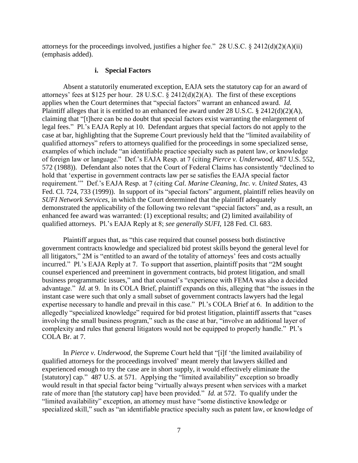attorneys for the proceedings involved, justifies a higher fee."  $28 \text{ U.S.C.}$  §  $2412(d)(2)(\text{A})(ii)$ (emphasis added).

#### **i. Special Factors**

Absent a statutorily enumerated exception, EAJA sets the statutory cap for an award of attorneys' fees at \$125 per hour. 28 U.S.C. § 2412(d)(2)(A). The first of these exceptions applies when the Court determines that "special factors" warrant an enhanced award. *Id.* Plaintiff alleges that it is entitled to an enhanced fee award under 28 U.S.C. § 2412(d)(2)(A), claiming that "[t]here can be no doubt that special factors exist warranting the enlargement of legal fees." Pl.'s EAJA Reply at 10. Defendant argues that special factors do not apply to the case at bar, highlighting that the Supreme Court previously held that the "limited availability of qualified attorneys" refers to attorneys qualified for the proceedings in some specialized sense, examples of which include "an identifiable practice specialty such as patent law, or knowledge of foreign law or language." Def.'s EAJA Resp. at 7 (citing *Pierce v. Underwood*, 487 U.S. 552, 572 (1988)). Defendant also notes that the Court of Federal Claims has consistently "declined to hold that 'expertise in government contracts law per se satisfies the EAJA special factor requirement.'" Def.'s EAJA Resp. at 7 (citing *Cal. Marine Cleaning, Inc. v. United States*, 43 Fed. Cl. 724, 733 (1999)). In support of its "special factors" argument, plaintiff relies heavily on *SUFI Network Services*, in which the Court determined that the plaintiff adequately demonstrated the applicability of the following two relevant "special factors" and, as a result, an enhanced fee award was warranted: (1) exceptional results; and (2) limited availability of qualified attorneys. Pl.'s EAJA Reply at 8; *see generally SUFI*, 128 Fed. Cl. 683.

Plaintiff argues that, as "this case required that counsel possess both distinctive government contracts knowledge and specialized bid protest skills beyond the general level for all litigators," 2M is "entitled to an award of the totality of attorneys' fees and costs actually incurred." Pl.'s EAJA Reply at 7. To support that assertion, plaintiff posits that "2M sought counsel experienced and preeminent in government contracts, bid protest litigation, and small business programmatic issues," and that counsel's "experience with FEMA was also a decided advantage." *Id.* at 9. In its COLA Brief, plaintiff expands on this, alleging that "the issues in the instant case were such that only a small subset of government contracts lawyers had the legal expertise necessary to handle and prevail in this case." Pl.'s COLA Brief at 6. In addition to the allegedly "specialized knowledge" required for bid protest litigation, plaintiff asserts that "cases involving the small business program," such as the case at bar, "involve an additional layer of complexity and rules that general litigators would not be equipped to properly handle." Pl.'s COLA Br. at 7.

In *Pierce v. Underwood*, the Supreme Court held that "[i]f 'the limited availability of qualified attorneys for the proceedings involved' meant merely that lawyers skilled and experienced enough to try the case are in short supply, it would effectively eliminate the [statutory] cap." 487 U.S. at 571. Applying the "limited availability" exception so broadly would result in that special factor being "virtually always present when services with a market rate of more than [the statutory cap] have been provided." *Id.* at 572. To qualify under the "limited availability" exception, an attorney must have "some distinctive knowledge or specialized skill," such as "an identifiable practice specialty such as patent law, or knowledge of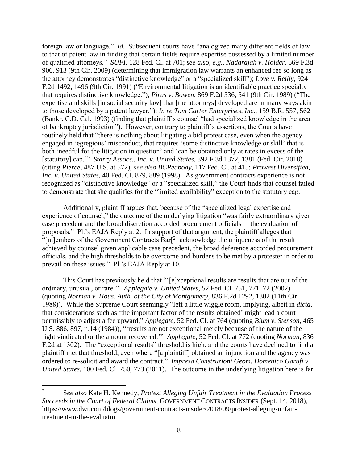foreign law or language." *Id.* Subsequent courts have "analogized many different fields of law to that of patent law in finding that certain fields require expertise possessed by a limited number of qualified attorneys." *SUFI*, 128 Fed. Cl. at 701; *see also*, *e.g.*, *Nadarajah v. Holder*, 569 F.3d 906, 913 (9th Cir. 2009) (determining that immigration law warrants an enhanced fee so long as the attorney demonstrates "distinctive knowledge" or a "specialized skill"); *Love v. Reilly*, 924 F.2d 1492, 1496 (9th Cir. 1991) ("Environmental litigation is an identifiable practice specialty that requires distinctive knowledge."); *Pirus v. Bowen*, 869 F.2d 536, 541 (9th Cir. 1989) ("The expertise and skills [in social security law] that [the attorneys] developed are in many ways akin to those developed by a patent lawyer."); *In re Tom Carter Enterprises, Inc.*, 159 B.R. 557, 562 (Bankr. C.D. Cal. 1993) (finding that plaintiff's counsel "had specialized knowledge in the area of bankruptcy jurisdiction"). However, contrary to plaintiff's assertions, the Courts have routinely held that "there is nothing about litigating a bid protest case, even when the agency engaged in 'egregious' misconduct, that requires 'some distinctive knowledge or skill' that is both 'needful for the litigation in question' and 'can be obtained only at rates in excess of the [statutory] cap.'" *Starry Assocs., Inc. v. United States*, 892 F.3d 1372, 1381 (Fed. Cir. 2018) (citing *Pierce*, 487 U.S. at 572); *see also BCPeabody*, 117 Fed. Cl. at 415; *Prowest Diversified, Inc. v. United States*, 40 Fed. Cl. 879, 889 (1998). As government contracts experience is not recognized as "distinctive knowledge" or a "specialized skill," the Court finds that counsel failed to demonstrate that she qualifies for the "limited availability" exception to the statutory cap.

Additionally, plaintiff argues that, because of the "specialized legal expertise and experience of counsel," the outcome of the underlying litigation "was fairly extraordinary given case precedent and the broad discretion accorded procurement officials in the evaluation of proposals." Pl.'s EAJA Reply at 2. In support of that argument, the plaintiff alleges that "[m]embers of the Government Contracts  $Bar[^2]$  acknowledge the uniqueness of the result achieved by counsel given applicable case precedent, the broad deference accorded procurement officials, and the high thresholds to be overcome and burdens to be met by a protester in order to prevail on these issues." Pl.'s EAJA Reply at 10.

This Court has previously held that "'[e]xceptional results are results that are out of the ordinary, unusual, or rare.'" *Applegate v. United States*, 52 Fed. Cl. 751, 771–72 (2002) (quoting *Norman v. Hous. Auth. of the City of Montgomery*, 836 F.2d 1292, 1302 (11th Cir. 1988)). While the Supreme Court seemingly "left a little wiggle room, implying, albeit in *dicta,* that considerations such as 'the important factor of the results obtained' might lead a court permissibly to adjust a fee upward," *Applegate*, 52 Fed. Cl. at 764 (quoting *Blum v. Stenson*, 465 U.S. 886, 897, n.14 (1984)), "results are not exceptional merely because of the nature of the right vindicated or the amount recovered.'" *Applegate*, 52 Fed. Cl. at 772 (quoting *Norman*, 836 F.2d at 1302). The "exceptional results" threshold is high, and the courts have declined to find a plaintiff met that threshold, even where "[a plaintiff] obtained an injunction and the agency was ordered to re-solicit and award the contract." *Impresa Construzioni Geom. Domenico Garufi v. United States*, 100 Fed. Cl. 750, 773 (2011). The outcome in the underlying litigation here is far

l

<sup>2</sup> S*ee also* Kate H. Kennedy, *Protest Alleging Unfair Treatment in the Evaluation Process Succeeds in the Court of Federal Claims*, GOVERNMENT CONTRACTS INSIDER (Sept. 14, 2018), https://www.dwt.com/blogs/government-contracts-insider/2018/09/protest-alleging-unfairtreatment-in-the-evaluatio.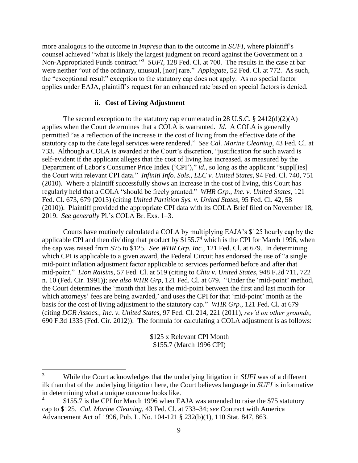more analogous to the outcome in *Impresa* than to the outcome in *SUFI*, where plaintiff's counsel achieved "what is likely the largest judgment on record against the Government on a Non-Appropriated Funds contract."<sup>3</sup> *SUFI*, 128 Fed. Cl. at 700. The results in the case at bar were neither "out of the ordinary, unusual, [nor] rare." *Applegate*, 52 Fed. Cl. at 772. As such, the "exceptional result" exception to the statutory cap does not apply. As no special factor applies under EAJA, plaintiff's request for an enhanced rate based on special factors is denied.

### **ii. Cost of Living Adjustment**

The second exception to the statutory cap enumerated in 28 U.S.C. § 2412(d)(2)(A) applies when the Court determines that a COLA is warranted. *Id*. A COLA is generally permitted "as a reflection of the increase in the cost of living from the effective date of the statutory cap to the date legal services were rendered." *See Cal. Marine Cleaning*, 43 Fed. Cl. at 733. Although a COLA is awarded at the Court's discretion, "justification for such award is self-evident if the applicant alleges that the cost of living has increased, as measured by the Department of Labor's Consumer Price Index ('CPI')," *id.*, so long as the applicant "supples the Court with relevant CPI data." *Infiniti Info. Sols., LLC v. United States*, 94 Fed. Cl. 740, 751 (2010). Where a plaintiff successfully shows an increase in the cost of living, this Court has regularly held that a COLA "should be freely granted." *WHR Grp., Inc. v. United States*, 121 Fed. Cl. 673, 679 (2015) (citing *United Partition Sys. v. United States*, 95 Fed. Cl. 42, 58 (2010)). Plaintiff provided the appropriate CPI data with its COLA Brief filed on November 18, 2019. *See generally* Pl.'s COLA Br. Exs. 1–3.

Courts have routinely calculated a COLA by multiplying EAJA's \$125 hourly cap by the applicable CPI and then dividing that product by \$155.7<sup>4</sup> which is the CPI for March 1996, when the cap was raised from \$75 to \$125. *See WHR Grp. Inc.*, 121 Fed. Cl. at 679. In determining which CPI is applicable to a given award, the Federal Circuit has endorsed the use of "a single" mid-point inflation adjustment factor applicable to services performed before and after that mid-point." *Lion Raisins*, 57 Fed. Cl. at 519 (citing to *Chiu v. United States*, 948 F.2d 711, 722 n. 10 (Fed. Cir. 1991)); *see also WHR Grp*, 121 Fed. Cl. at 679. "Under the 'mid-point' method, the Court determines the 'month that lies at the mid-point between the first and last month for which attorneys' fees are being awarded,' and uses the CPI for that 'mid-point' month as the basis for the cost of living adjustment to the statutory cap." *WHR Grp.*, 121 Fed. Cl. at 679 (citing *DGR Assocs., Inc. v. United States*, 97 Fed. Cl. 214, 221 (2011), *rev'd on other grounds*, 690 F.3d 1335 (Fed. Cir. 2012)). The formula for calculating a COLA adjustment is as follows:

> \$125 x Relevant CPI Month \$155.7 (March 1996 CPI)

 $\overline{\phantom{a}}$ 

<sup>3</sup> While the Court acknowledges that the underlying litigation in *SUFI* was of a different ilk than that of the underlying litigation here, the Court believes language in *SUFI* is informative in determining what a unique outcome looks like.

<sup>4</sup> \$155.7 is the CPI for March 1996 when EAJA was amended to raise the \$75 statutory cap to \$125. *Cal. Marine Cleaning*, 43 Fed. Cl. at 733–34; *see* Contract with America Advancement Act of 1996, Pub. L. No. 104-121 § 232(b)(1), 110 Stat. 847, 863.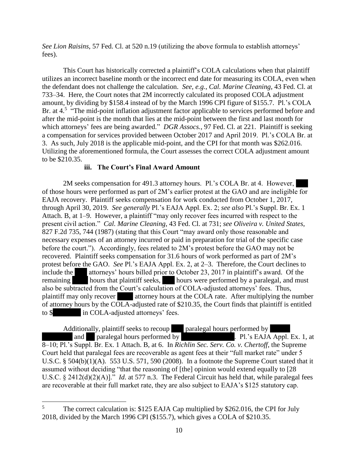*See Lion Raisins*, 57 Fed. Cl. at 520 n.19 (utilizing the above formula to establish attorneys' fees).

This Court has historically corrected a plaintiff's COLA calculations when that plaintiff utilizes an incorrect baseline month or the incorrect end date for measuring its COLA, even when the defendant does not challenge the calculation. *See, e.g.*, *Cal. Marine Cleaning*, 43 Fed. Cl. at 733–34. Here, the Court notes that 2M incorrectly calculated its proposed COLA adjustment amount, by dividing by \$158.4 instead of by the March 1996 CPI figure of \$155.7. Pl.'s COLA Br. at 4.<sup>5</sup> "The mid-point inflation adjustment factor applicable to services performed before and after the mid-point is the month that lies at the mid-point between the first and last month for which attorneys' fees are being awarded." *DGR Assocs.*, 97 Fed. Cl. at 221. Plaintiff is seeking a compensation for services provided between October 2017 and April 2019. Pl.'s COLA Br. at 3. As such, July 2018 is the applicable mid-point, and the CPI for that month was \$262.016. Utilizing the aforementioned formula, the Court assesses the correct COLA adjustment amount to be \$210.35.

# **iii. The Court's Final Award Amount**

2M seeks compensation for 491.3 attorney hours. Pl.'s COLA Br. at 4. However, of those hours were performed as part of 2M's earlier protest at the GAO and are ineligible for EAJA recovery. Plaintiff seeks compensation for work conducted from October 1, 2017, through April 30, 2019. *See generally* Pl.'s EAJA Appl. Ex. 2; *see also* Pl.'s Suppl. Br. Ex. 1 Attach. B, at 1–9. However, a plaintiff "may only recover fees incurred with respect to the present civil action." *Cal. Marine Cleaning*, 43 Fed. Cl. at 731; *see Oliveira v. United States*, 827 F.2d 735, 744 (1987) (stating that this Court "may award only those reasonable and necessary expenses of an attorney incurred or paid in preparation for trial of the specific case before the court."). Accordingly, fees related to 2M's protest before the GAO may not be recovered. Plaintiff seeks compensation for 31.6 hours of work performed as part of 2M's protest before the GAO. *See* Pl.'s EAJA Appl. Ex. 2, at 2–3. Therefore, the Court declines to include the attorneys' hours billed prior to October 23, 2017 in plaintiff's award. Of the remaining hours that plaintiff seeks, hours were performed by a paralegal, and must also be subtracted from the Court's calculation of COLA-adjusted attorneys' fees. Thus, plaintiff may only recover attorney hours at the COLA rate. After multiplying the number of attorney hours by the COLA-adjusted rate of \$210.35, the Court finds that plaintiff is entitled to \$ in COLA-adjusted attorneys' fees.

Additionally, plaintiff seeks to recoup paralegal hours performed by

 $\overline{a}$ 

and paralegal hours performed by . Pl.'s EAJA Appl. Ex. 1, at 8–10; Pl.'s Suppl. Br. Ex. 1 Attach. B, at 6. In *Richlin Sec. Serv. Co. v. Chertoff*, the Supreme Court held that paralegal fees are recoverable as agent fees at their "full market rate" under 5 U.S.C. § 504(b)(1)(A). 553 U.S. 571, 590 (2008). In a footnote the Supreme Court stated that it assumed without deciding "that the reasoning of [the] opinion would extend equally to [28 U.S.C. § 2412(d)(2)(A)].<sup>"</sup> *Id.* at 577 n.3. The Federal Circuit has held that, while paralegal fees are recoverable at their full market rate, they are also subject to EAJA's \$125 statutory cap.

<sup>&</sup>lt;sup>5</sup> The correct calculation is: \$125 EAJA Cap multiplied by \$262.016, the CPI for July 2018, divided by the March 1996 CPI (\$155.7), which gives a COLA of \$210.35.